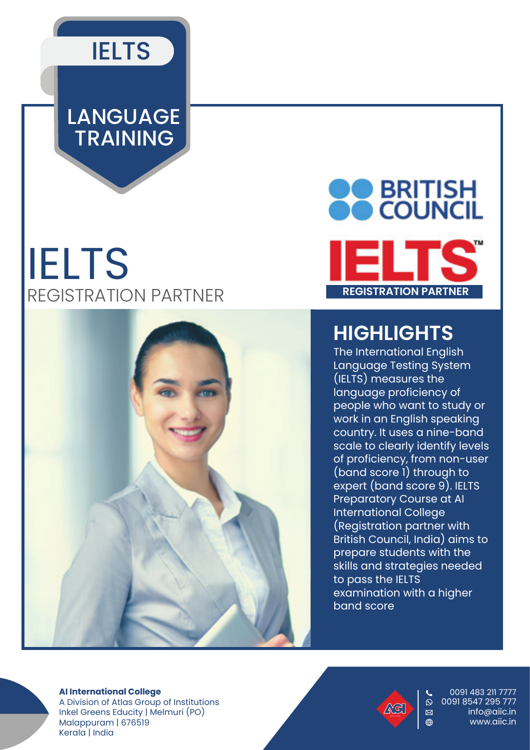

## LANGUAGE TRAINING

# IELTS REGISTRATION PARTNER





### **HIGHLIGHTS**

The International English Language Testing System (IELTS) measures the language proficiency of people who want to study or work in an English speaking country. It uses a nine-band scale to clearly identify levels of proficiency, from non-user (band score 1) through to expert (band score 9). IELTS Preparatory Course at AI International College (Registration partner with British Council, India) aims to prepare students with the skills and strategies needed to pass the IELTS examination with a higher band score

#### **AI International College**

A Division of Atlas Group of Institutions Inkel Greens Educity | Melmuri (PO) Malappuram | 676519 Kerala | India



0091 483 211 7777  $\overline{0}$  0091 8547 295 777 info@aiic.in  $\bigoplus$  www.aiic.in